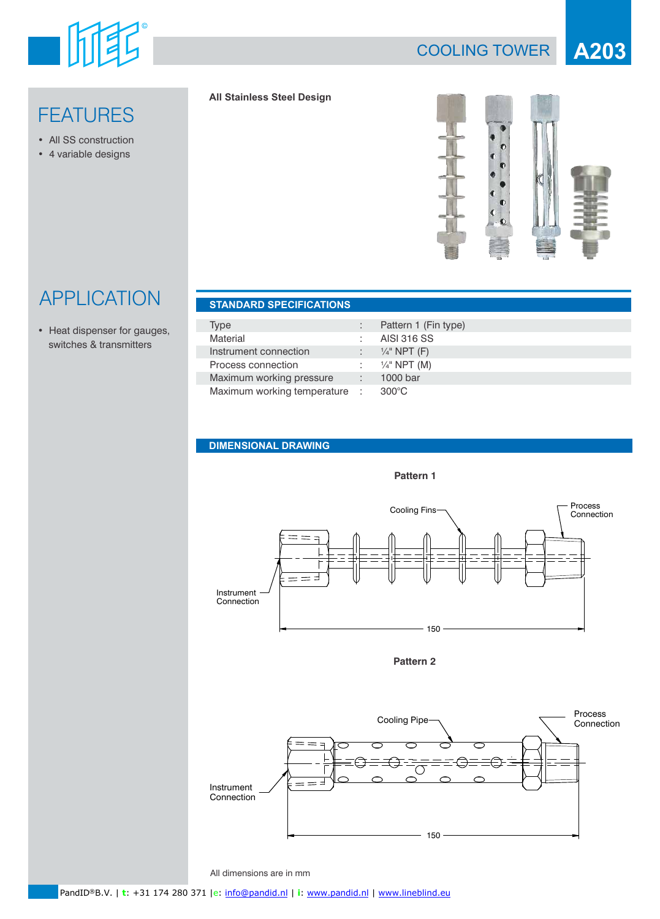

**FEATURES** 

• All SS construction • 4 variable designs

## COOLING TOWER **A203**

#### **All Stainless Steel Design**



# APPLICATION **STANDARD SPECIFICATIONS**

• Heat dispenser for gauges, switches & transmitters

| <b>SIANDARD SPECIFICATIONS</b> |                           |
|--------------------------------|---------------------------|
|                                |                           |
| Type                           | Pattern 1 (Fin type)      |
| Material                       | AISI 316 SS               |
| Instrument connection          | $\frac{1}{4}$ " NPT (F)   |
| Process connection             | : $\frac{1}{4}$ " NPT (M) |
| Maximum working pressure       | 1000 bar                  |
| Maximum working temperature :  | $300^{\circ}$ C           |

#### **DIMENSIONAL DRAWING**



**Pattern 2**



All dimensions are in mm